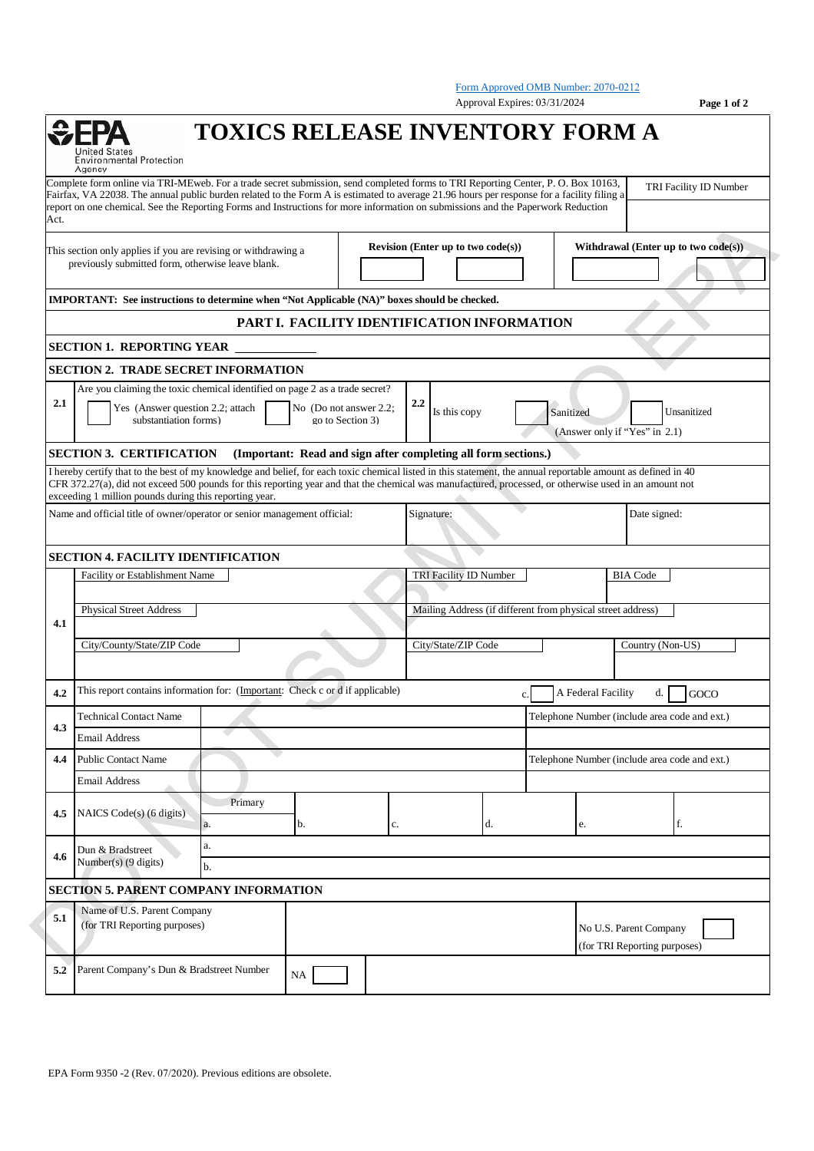Form Approved OMB Number: 2070-0212 Approval Expires: 03/31/2024 **Page 1 of 2 TOXICS RELEASE INVENTORY FORM A** Environmental Protection Agency Complete form online via TRI-MEweb. For a trade secret submission, send completed forms to TRI Reporting Center, P. O. Box 10163, TRI Facility ID Number Fairfax, VA 22038. The annual public burden related to the Form A is estimated to average 21.96 hours per response for a facility filing a report on one chemical. See the Reporting Forms and Instructions for more information on submissions and the Paperwork Reduction Act. **Revision (Enter up to two code(s)) Withdrawal (Enter up to two code(s))** This section only applies if you are revising or withdrawing a previously submitted form, otherwise leave blank. **IMPORTANT: See instructions to determine when "Not Applicable (NA)" boxes should be checked. PART I. FACILITY IDENTIFICATION INFORMATION SECTION 1. REPORTING YEAR SECTION 2. TRADE SECRET INFORMATION** Are you claiming the toxic chemical identified on page 2 as a trade secret? **2.1** Yes (Answer question 2.2; attach  $\Box$  No (Do not answer 2.2;  $\Box$  2.2 No (Do not answer 2.2; Is this copy Sanitized Unsanitized substantiation forms) go to Section 3) (Answer only if "Yes" in 2.1) **SECTION 3. CERTIFICATION (Important: Read and sign after completing all form sections.)** I hereby certify that to the best of my knowledge and belief, for each toxic chemical listed in this statement, the annual reportable amount as defined in 40 CFR 372.27(a), did not exceed 500 pounds for this reporting year and that the chemical was manufactured, processed, or otherwise used in an amount not exceeding 1 million pounds during this reporting year. Name and official title of owner/operator or senior management official: Signature: Date signed: Date signed: **SECTION 4. FACILITY IDENTIFICATION** Facility or Establishment Name Name TRI Facility ID Number BIA Code Physical Street Address **Mailing Address (if different from physical street address) 4.1** City/County/State/ZIP Code City/State/ZIP Code Country (Non-US) **4.2** This report contains information for: (Important: Check c or d if applicable) c. A Federal Facility d. GOCO Technical Contact Name Telephone Number (include area code and ext.) **4.3** Email Address **4.4** Public Contact Name Telephone Number (include area code and ext.) Email Address Primary **4.5** NAICS Code(s) (6 digits) a. b. c. c. d. e. f. a. **4.6** Dun & Bradstreet Number(s) (9 digits) b. **SECTION 5. PARENT COMPANY INFORMATION** Name of U.S. Parent Company **5.1** (for TRI Reporting purposes) No U.S. Parent Company (for TRI Reporting purposes) **5.2** Parent Company's Dun & Bradstreet Number NA